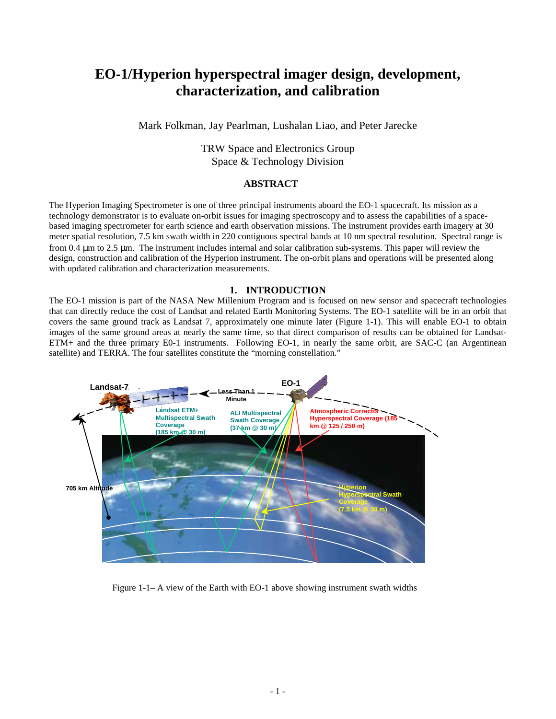# **EO-1/Hyperion hyperspectral imager design, development, characterization, and calibration**

Mark Folkman, Jay Pearlman, Lushalan Liao, and Peter Jarecke

# TRW Space and Electronics Group Space & Technology Division

#### **ABSTRACT**

The Hyperion Imaging Spectrometer is one of three principal instruments aboard the EO-1 spacecraft. Its mission as a technology demonstrator is to evaluate on-orbit issues for imaging spectroscopy and to assess the capabilities of a spacebased imaging spectrometer for earth science and earth observation missions. The instrument provides earth imagery at 30 meter spatial resolution, 7.5 km swath width in 220 contiguous spectral bands at 10 nm spectral resolution. Spectral range is from 0.4 µm to 2.5 µm. The instrument includes internal and solar calibration sub-systems. This paper will review the design, construction and calibration of the Hyperion instrument. The on-orbit plans and operations will be presented along with updated calibration and characterization measurements.

#### **1. INTRODUCTION**

The EO-1 mission is part of the NASA New Millenium Program and is focused on new sensor and spacecraft technologies that can directly reduce the cost of Landsat and related Earth Monitoring Systems. The EO-1 satellite will be in an orbit that covers the same ground track as Landsat 7, approximately one minute later (Figure 1-1). This will enable EO-1 to obtain images of the same ground areas at nearly the same time, so that direct comparison of results can be obtained for Landsat-ETM+ and the three primary E0-1 instruments. Following EO-1, in nearly the same orbit, are SAC-C (an Argentinean satellite) and TERRA. The four satellites constitute the "morning constellation."



Figure 1-1– A view of the Earth with EO-1 above showing instrument swath widths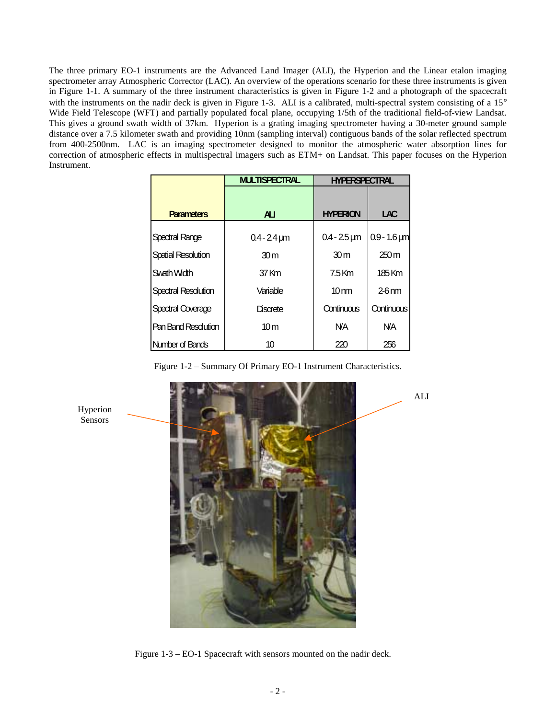The three primary EO-1 instruments are the Advanced Land Imager (ALI), the Hyperion and the Linear etalon imaging spectrometer array Atmospheric Corrector (LAC). An overview of the operations scenario for these three instruments is given in Figure 1-1. A summary of the three instrument characteristics is given in Figure 1-2 and a photograph of the spacecraft with the instruments on the nadir deck is given in Figure 1-3. ALI is a calibrated, multi-spectral system consisting of a 15° Wide Field Telescope (WFT) and partially populated focal plane, occupying 1/5th of the traditional field-of-view Landsat. This gives a ground swath width of 37km. Hyperion is a grating imaging spectrometer having a 30-meter ground sample distance over a 7.5 kilometer swath and providing 10nm (sampling interval) contiguous bands of the solar reflected spectrum from 400-2500nm. LAC is an imaging spectrometer designed to monitor the atmospheric water absorption lines for correction of atmospheric effects in multispectral imagers such as ETM+ on Landsat. This paper focuses on the Hyperion Instrument.

|                            | <b>MULTISPECTRAL</b> | <b>HYPERSPECTRAL</b> |                     |
|----------------------------|----------------------|----------------------|---------------------|
|                            |                      |                      |                     |
| <b>Parameters</b>          | $\mathbf{A}$         | <b>HYPERION</b>      | LAC                 |
| Spectral Range             | $0.4 - 24 \,\mu m$   | $0.4 - 25 \mu m$     | $0.9 - 1.6 \,\mu m$ |
| <b>Spatial Resolution</b>  | 30 <sub>m</sub>      | 30 <sub>m</sub>      | 250m                |
| Swath Width                | 37 Km                | $7.5$ Km             | 185 Km              |
| <b>Spectral Resolution</b> | Variable             | $10 \text{ nm}$      | $2-6$ nm            |
| <b>Spectral Coverage</b>   | Discrete             | Continuous           | Continuous          |
| Pan Band Resolution        | 10 <sub>m</sub>      | <b>NA</b>            | <b>NA</b>           |
| Number of Bands            | 10                   | 220                  | 256                 |

Figure 1-2 – Summary Of Primary EO-1 Instrument Characteristics.



Figure 1-3 – EO-1 Spacecraft with sensors mounted on the nadir deck.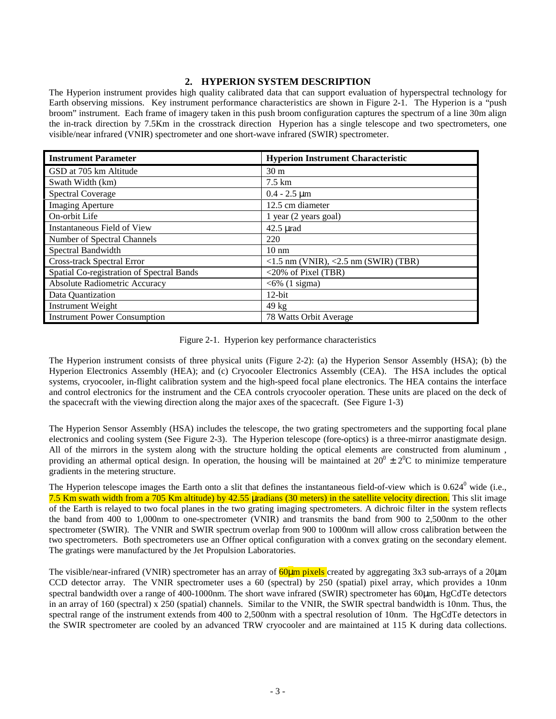### **2. HYPERION SYSTEM DESCRIPTION**

The Hyperion instrument provides high quality calibrated data that can support evaluation of hyperspectral technology for Earth observing missions.Key instrument performance characteristics are shown in Figure 2-1.The Hyperion is a "push broom" instrument. Each frame of imagery taken in this push broom configuration captures the spectrum of a line 30m align the in-track direction by 7.5Km in the crosstrack direction Hyperion has a single telescope and two spectrometers, one visible/near infrared (VNIR) spectrometer and one short-wave infrared (SWIR) spectrometer.

| <b>Instrument Parameter</b>               | <b>Hyperion Instrument Characteristic</b>             |  |  |
|-------------------------------------------|-------------------------------------------------------|--|--|
| GSD at 705 km Altitude                    | 30 <sub>m</sub>                                       |  |  |
| Swath Width (km)                          | $7.5 \text{ km}$                                      |  |  |
| <b>Spectral Coverage</b>                  | $0.4 - 2.5 \mu m$                                     |  |  |
| <b>Imaging Aperture</b>                   | 12.5 cm diameter                                      |  |  |
| On-orbit Life                             | 1 year (2 years goal)                                 |  |  |
| <b>Instantaneous Field of View</b>        | $42.5 \mu$ rad                                        |  |  |
| Number of Spectral Channels               | 220                                                   |  |  |
| Spectral Bandwidth                        | $10 \text{ nm}$                                       |  |  |
| Cross-track Spectral Error                | $<$ 1.5 nm (VNIR), $<$ 2.5 nm (SWIR) (TBR)            |  |  |
| Spatial Co-registration of Spectral Bands | $\langle 20\% \text{ of } \text{pixel (TBR)} \rangle$ |  |  |
| <b>Absolute Radiometric Accuracy</b>      | $<6\%$ (1 sigma)                                      |  |  |
| Data Quantization                         | $12$ -bit                                             |  |  |
| <b>Instrument Weight</b>                  | $49 \text{ kg}$                                       |  |  |
| <b>Instrument Power Consumption</b>       | 78 Watts Orbit Average                                |  |  |

Figure 2-1. Hyperion key performance characteristics

The Hyperion instrument consists of three physical units (Figure 2-2): (a) the Hyperion Sensor Assembly (HSA); (b) the Hyperion Electronics Assembly (HEA); and (c) Cryocooler Electronics Assembly (CEA). The HSA includes the optical systems, cryocooler, in-flight calibration system and the high-speed focal plane electronics. The HEA contains the interface and control electronics for the instrument and the CEA controls cryocooler operation. These units are placed on the deck of the spacecraft with the viewing direction along the major axes of the spacecraft. (See Figure 1-3)

The Hyperion Sensor Assembly (HSA) includes the telescope, the two grating spectrometers and the supporting focal plane electronics and cooling system (See Figure 2-3). The Hyperion telescope (fore-optics) is a three-mirror anastigmate design. All of the mirrors in the system along with the structure holding the optical elements are constructed from aluminum, providing an athermal optical design. In operation, the housing will be maintained at  $20^0 \pm 2^0C$  to minimize temperature gradients in the metering structure.

The Hyperion telescope images the Earth onto a slit that defines the instantaneous field-of-view which is  $0.624^0$  wide (i.e., 7.5 Km swath width from a 705 Km altitude) by 42.55 µradians (30 meters) in the satellite velocity direction. This slit image of the Earth is relayed to two focal planes in the two grating imaging spectrometers. A dichroic filter in the system reflects the band from 400 to 1,000nm to one-spectrometer (VNIR) and transmits the band from 900 to 2,500nm to the other spectrometer (SWIR). The VNIR and SWIR spectrum overlap from 900 to 1000nm will allow cross calibration between the two spectrometers. Both spectrometers use an Offner optical configuration with a convex grating on the secondary element. The gratings were manufactured by the Jet Propulsion Laboratories.

The visible/near-infrared (VNIR) spectrometer has an array of  $60 \mu m$  pixels created by aggregating 3x3 sub-arrays of a 20 $\mu$ m CCD detector array. The VNIR spectrometer uses a 60 (spectral) by 250 (spatial) pixel array, which provides a 10nm spectral bandwidth over a range of 400-1000nm. The short wave infrared (SWIR) spectrometer has 60µm, HgCdTe detectors in an array of 160 (spectral) x 250 (spatial) channels. Similar to the VNIR, the SWIR spectral bandwidth is 10nm. Thus, the spectral range of the instrument extends from 400 to 2,500nm with a spectral resolution of 10nm. The HgCdTe detectors in the SWIR spectrometer are cooled by an advanced TRW cryocooler and are maintained at 115 K during data collections.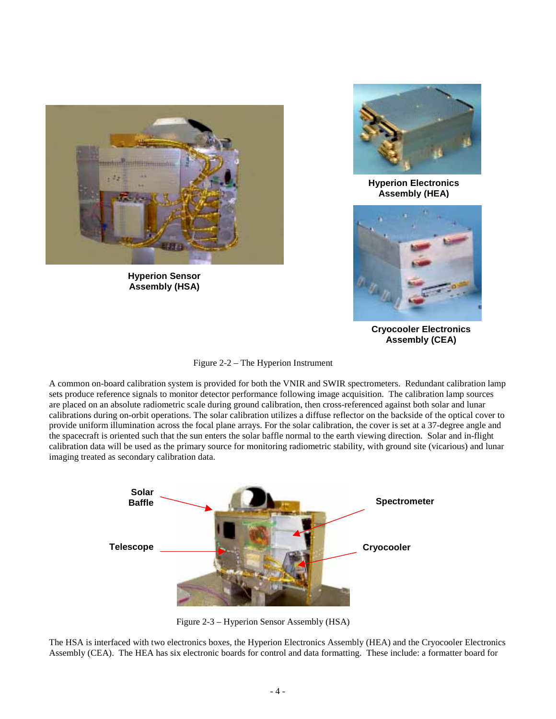

**Hyperion Sensor Assembly (HSA)**



**Hyperion Electronics Assembly (HEA)**



**Cryocooler Electronics Assembly (CEA)**

A common on-board calibration system is provided for both the VNIR and SWIR spectrometers. Redundant calibration lamp sets produce reference signals to monitor detector performance following image acquisition. The calibration lamp sources are placed on an absolute radiometric scale during ground calibration, then cross-referenced against both solar and lunar calibrations during on-orbit operations. The solar calibration utilizes a diffuse reflector on the backside of the optical cover to provide uniform illumination across the focal plane arrays. For the solar calibration, the cover is set at a 37-degree angle and the spacecraft is oriented such that the sun enters the solar baffle normal to the earth viewing direction. Solar and in-flight calibration data will be used as the primary source for monitoring radiometric stability, with ground site (vicarious) and lunar imaging treated as secondary calibration data.



Figure 2-3 – Hyperion Sensor Assembly (HSA)

The HSA is interfaced with two electronics boxes, the Hyperion Electronics Assembly (HEA) and the Cryocooler Electronics Assembly (CEA). The HEA has six electronic boards for control and data formatting. These include: a formatter board for

Figure 2-2 – The Hyperion Instrument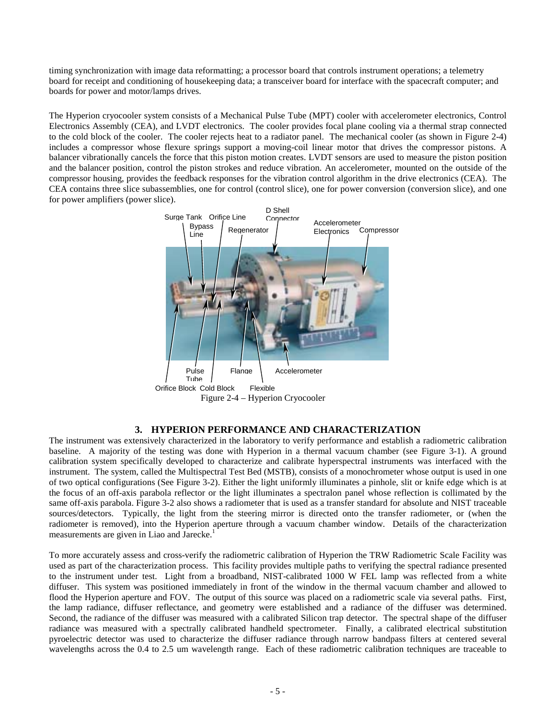timing synchronization with image data reformatting; a processor board that controls instrument operations; a telemetry board for receipt and conditioning of housekeeping data; a transceiver board for interface with the spacecraft computer; and boards for power and motor/lamps drives.

The Hyperion cryocooler system consists of a Mechanical Pulse Tube (MPT) cooler with accelerometer electronics, Control Electronics Assembly (CEA), and LVDT electronics. The cooler provides focal plane cooling via a thermal strap connected to the cold block of the cooler. The cooler rejects heat to a radiator panel. The mechanical cooler (as shown in Figure 2-4) includes a compressor whose flexure springs support a moving-coil linear motor that drives the compressor pistons. A balancer vibrationally cancels the force that this piston motion creates. LVDT sensors are used to measure the piston position and the balancer position, control the piston strokes and reduce vibration. An accelerometer, mounted on the outside of the compressor housing, provides the feedback responses for the vibration control algorithm in the drive electronics (CEA). The CEA contains three slice subassemblies, one for control (control slice), one for power conversion (conversion slice), and one for power amplifiers (power slice).



## **3. HYPERION PERFORMANCE AND CHARACTERIZATION**

The instrument was extensively characterized in the laboratory to verify performance and establish a radiometric calibration baseline. A majority of the testing was done with Hyperion in a thermal vacuum chamber (see Figure 3-1). A ground calibration system specifically developed to characterize and calibrate hyperspectral instruments was interfaced with the instrument. The system, called the Multispectral Test Bed (MSTB), consists of a monochrometer whose output is used in one of two optical configurations (See Figure 3-2). Either the light uniformly illuminates a pinhole, slit or knife edge which is at the focus of an off-axis parabola reflector or the light illuminates a spectralon panel whose reflection is collimated by the same off-axis parabola. Figure 3-2 also shows a radiometer that is used as a transfer standard for absolute and NIST traceable sources/detectors. Typically, the light from the steering mirror is directed onto the transfer radiometer, or (when the radiometer is removed), into the Hyperion aperture through a vacuum chamber window. Details of the characterization measurements are given in Liao and Jarecke.<sup>1</sup>

To more accurately assess and cross-verify the radiometric calibration of Hyperion the TRW Radiometric Scale Facility was used as part of the characterization process. This facility provides multiple paths to verifying the spectral radiance presented to the instrument under test. Light from a broadband, NIST-calibrated 1000 W FEL lamp was reflected from a white diffuser. This system was positioned immediately in front of the window in the thermal vacuum chamber and allowed to flood the Hyperion aperture and FOV. The output of this source was placed on a radiometric scale via several paths. First, the lamp radiance, diffuser reflectance, and geometry were established and a radiance of the diffuser was determined. Second, the radiance of the diffuser was measured with a calibrated Silicon trap detector. The spectral shape of the diffuser radiance was measured with a spectrally calibrated handheld spectrometer. Finally, a calibrated electrical substitution pyroelectric detector was used to characterize the diffuser radiance through narrow bandpass filters at centered several wavelengths across the 0.4 to 2.5 um wavelength range. Each of these radiometric calibration techniques are traceable to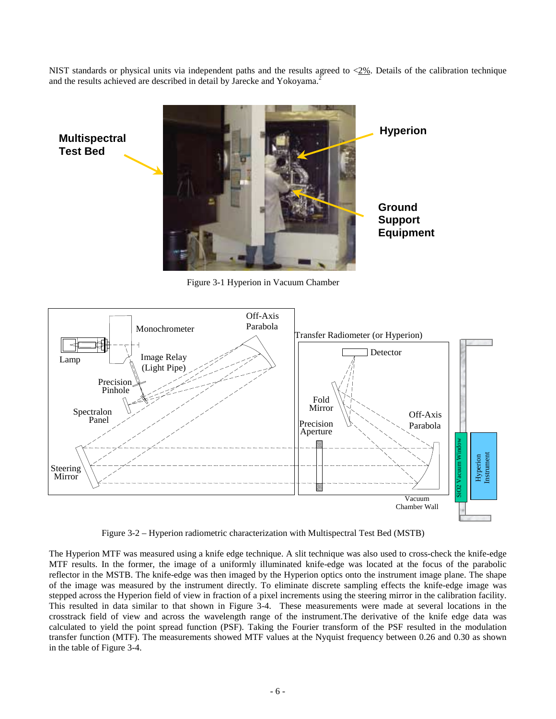NIST standards or physical units via independent paths and the results agreed to  $\langle 2\% \rangle$ . Details of the calibration technique and the results achieved are described in detail by Jarecke and Yokoyama.<sup>2</sup>



Figure 3-1 Hyperion in Vacuum Chamber

**Test Bed**



Figure 3-2 – Hyperion radiometric characterization with Multispectral Test Bed (MSTB)

The Hyperion MTF was measured using a knife edge technique. A slit technique was also used to cross-check the knife-edge MTF results. In the former, the image of a uniformly illuminated knife-edge was located at the focus of the parabolic reflector in the MSTB. The knife-edge was then imaged by the Hyperion optics onto the instrument image plane. The shape of the image was measured by the instrument directly. To eliminate discrete sampling effects the knife-edge image was stepped across the Hyperion field of view in fraction of a pixel increments using the steering mirror in the calibration facility. This resulted in data similar to that shown in Figure 3-4. These measurements were made at several locations in the crosstrack field of view and across the wavelength range of the instrument.The derivative of the knife edge data was calculated to yield the point spread function (PSF). Taking the Fourier transform of the PSF resulted in the modulation transfer function (MTF). The measurements showed MTF values at the Nyquist frequency between 0.26 and 0.30 as shown in the table of Figure 3-4.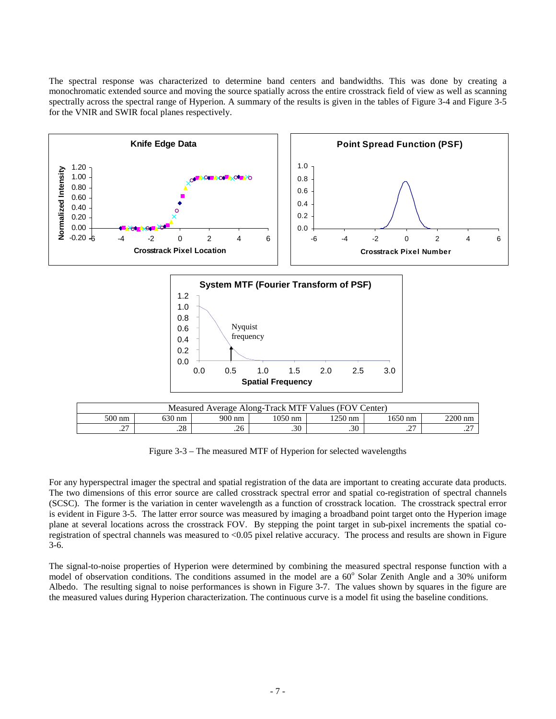The spectral response was characterized to determine band centers and bandwidths. This was done by creating a monochromatic extended source and moving the source spatially across the entire crosstrack field of view as well as scanning spectrally across the spectral range of Hyperion. A summary of the results is given in the tables of Figure 3-4 and Figure 3-5 for the VNIR and SWIR focal planes respectively.



Figure 3-3 – The measured MTF of Hyperion for selected wavelengths

For any hyperspectral imager the spectral and spatial registration of the data are important to creating accurate data products. The two dimensions of this error source are called crosstrack spectral error and spatial co-registration of spectral channels (SCSC). The former is the variation in center wavelength as a function of crosstrack location. The crosstrack spectral error is evident in Figure 3-5. The latter error source was measured by imaging a broadband point target onto the Hyperion image plane at several locations across the crosstrack FOV. By stepping the point target in sub-pixel increments the spatial coregistration of spectral channels was measured to <0.05 pixel relative accuracy. The process and results are shown in Figure 3-6.

The signal-to-noise properties of Hyperion were determined by combining the measured spectral response function with a model of observation conditions. The conditions assumed in the model are a 60° Solar Zenith Angle and a 30% uniform Albedo. The resulting signal to noise performances is shown in Figure 3-7. The values shown by squares in the figure are the measured values during Hyperion characterization. The continuous curve is a model fit using the baseline conditions.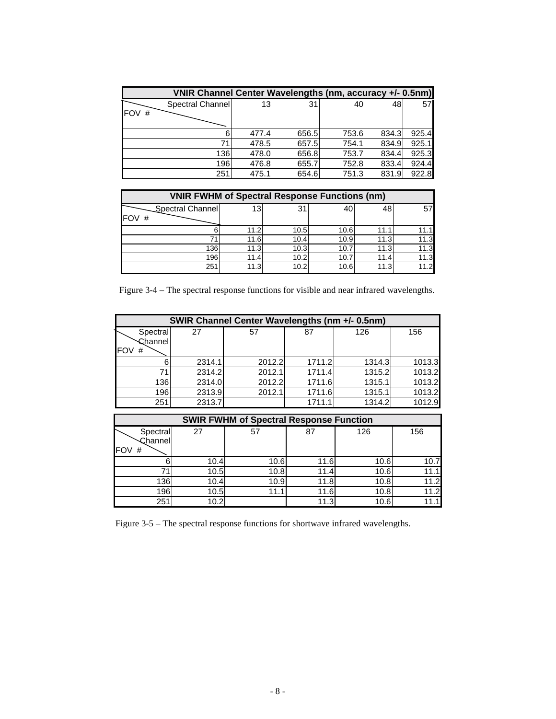| VNIR Channel Center Wavelengths (nm, accuracy +/- 0.5nm) |       |       |       |       |       |
|----------------------------------------------------------|-------|-------|-------|-------|-------|
| Spectral Channel                                         | 13    | 31    | 40    | 48    | 57    |
| <b>FOV</b><br>#                                          |       |       |       |       |       |
|                                                          | 477.4 | 656.5 | 753.6 | 834.3 | 925.4 |
| 71                                                       | 478.5 | 657.5 | 754.1 | 834.9 | 925.1 |
| 136                                                      | 478.0 | 656.8 | 753.7 | 834.4 | 925.3 |
| 196                                                      | 476.8 | 655.7 | 752.8 | 833.4 | 924.4 |
| 251                                                      | 475.1 | 654.6 | 751.3 | 831.9 | 922.8 |

| <b>VNIR FWHM of Spectral Response Functions (nm)</b> |      |      |      |      |      |  |  |
|------------------------------------------------------|------|------|------|------|------|--|--|
| Spectral Channel<br>IFOV<br>#                        | 13   | 31   | 40   |      | 57   |  |  |
|                                                      | 11.2 | 10.5 | 10.6 | 11.  | 11.1 |  |  |
| 71                                                   | 11.6 | 10.4 | 10.9 | 11.3 | 11.3 |  |  |
| 136                                                  | 11.3 | 10.3 | 10.7 | 11.3 | 11.3 |  |  |
| 196                                                  | 11.4 | 10.2 | 10.7 | 11.4 | 11.3 |  |  |
| 251                                                  | 11.3 | 10.2 | 10.6 | 11.3 | 11.2 |  |  |

Figure 3-4 – The spectral response functions for visible and near infrared wavelengths.

| SWIR Channel Center Wavelengths (nm +/- 0.5nm) |        |        |        |        |        |  |  |  |
|------------------------------------------------|--------|--------|--------|--------|--------|--|--|--|
| Spectral<br>Channel<br>IFOV<br>#               | 27     | 57     | 87     | 126    | 156    |  |  |  |
| հ                                              | 2314.1 | 2012.2 | 1711.2 | 1314.3 | 1013.3 |  |  |  |
| 71                                             | 2314.2 | 2012.1 | 1711.4 | 1315.2 | 1013.2 |  |  |  |
| 136                                            | 2314.0 | 2012.2 | 1711.6 | 1315.1 | 1013.2 |  |  |  |
| 196                                            | 2313.9 | 2012.1 | 1711.6 | 1315.1 | 1013.2 |  |  |  |
| 251                                            | 2313.7 |        | 1711.1 | 1314.2 | 1012.9 |  |  |  |

| <b>SWIR FWHM of Spectral Response Function</b> |      |      |      |      |      |  |  |  |
|------------------------------------------------|------|------|------|------|------|--|--|--|
| Spectral<br>Channel<br>IFOV<br>#               | 27   | 57   | 87   | 126  | 156  |  |  |  |
|                                                | 10.4 | 10.6 | 11.6 | 10.6 | 10.7 |  |  |  |
|                                                | 10.5 | 10.8 | 11.4 | 10.6 | 11.1 |  |  |  |
| 136                                            | 10.4 | 10.9 | 11.8 | 10.8 | 11.2 |  |  |  |
| 196                                            | 10.5 | 11.1 | 11.6 | 10.8 | 11.2 |  |  |  |
| 251                                            | 10.2 |      | 11.3 | 10.6 |      |  |  |  |

Figure 3-5 – The spectral response functions for shortwave infrared wavelengths.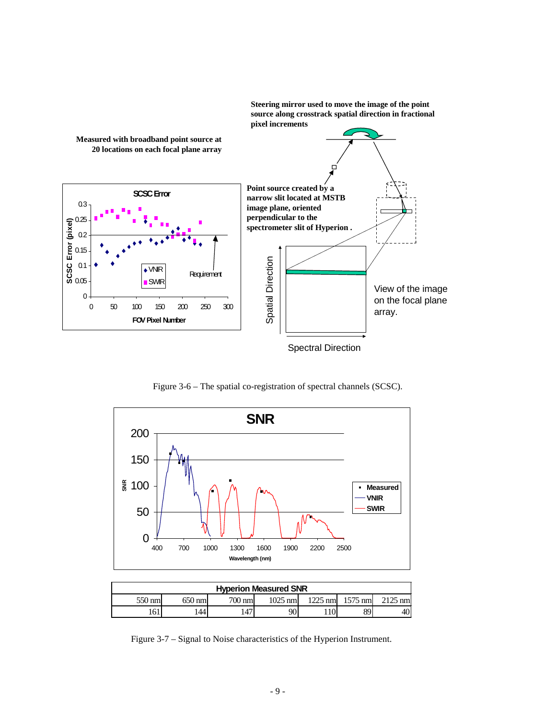**Steering mirror used to move the image of the point source along crosstrack spatial direction in fractional pixel increments**



Figure 3-6 – The spatial co-registration of spectral channels (SCSC).



| <b>Hyperion Measured SNR</b> |         |        |         |           |           |                   |  |
|------------------------------|---------|--------|---------|-----------|-----------|-------------------|--|
| 550 nml                      | 650 nml | 700 nm | 1025 nm | $1225$ nm | $1575$ nm | $2125 \text{ nm}$ |  |
| 161                          | 44      | 47     | 901     |           | 89        | 40                |  |

Figure 3-7 – Signal to Noise characteristics of the Hyperion Instrument.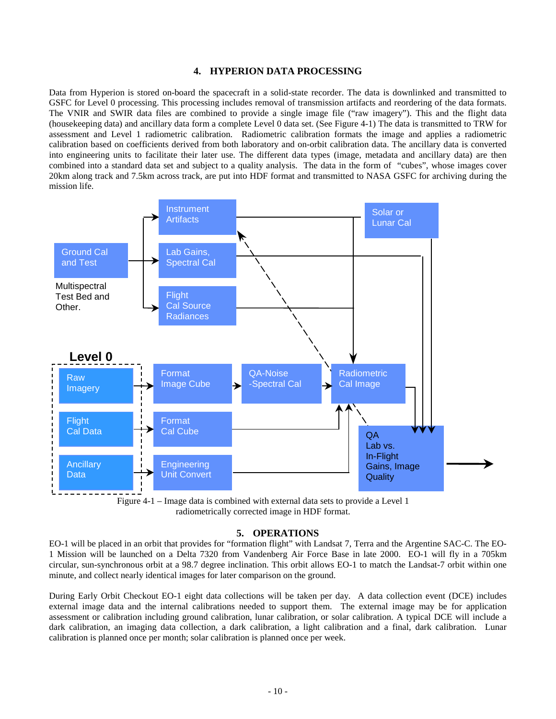#### **4. HYPERION DATA PROCESSING**

Data from Hyperion is stored on-board the spacecraft in a solid-state recorder. The data is downlinked and transmitted to GSFC for Level 0 processing. This processing includes removal of transmission artifacts and reordering of the data formats. The VNIR and SWIR data files are combined to provide a single image file ("raw imagery"). This and the flight data (housekeeping data) and ancillary data form a complete Level 0 data set. (See Figure 4-1) The data is transmitted to TRW for assessment and Level 1 radiometric calibration. Radiometric calibration formats the image and applies a radiometric calibration based on coefficients derived from both laboratory and on-orbit calibration data. The ancillary data is converted into engineering units to facilitate their later use. The different data types (image, metadata and ancillary data) are then combined into a standard data set and subject to a quality analysis. The data in the form of "cubes", whose images cover 20km along track and 7.5km across track, are put into HDF format and transmitted to NASA GSFC for archiving during the mission life.



Figure 4-1 – Image data is combined with external data sets to provide a Level 1 radiometrically corrected image in HDF format.

#### **5. OPERATIONS**

EO-1 will be placed in an orbit that provides for "formation flight" with Landsat 7, Terra and the Argentine SAC-C. The EO-1 Mission will be launched on a Delta 7320 from Vandenberg Air Force Base in late 2000. EO-1 will fly in a 705km circular, sun-synchronous orbit at a 98.7 degree inclination. This orbit allows EO-1 to match the Landsat-7 orbit within one minute, and collect nearly identical images for later comparison on the ground.

During Early Orbit Checkout EO-1 eight data collections will be taken per day. A data collection event (DCE) includes external image data and the internal calibrations needed to support them. The external image may be for application assessment or calibration including ground calibration, lunar calibration, or solar calibration. A typical DCE will include a dark calibration, an imaging data collection, a dark calibration, a light calibration and a final, dark calibration. Lunar calibration is planned once per month; solar calibration is planned once per week.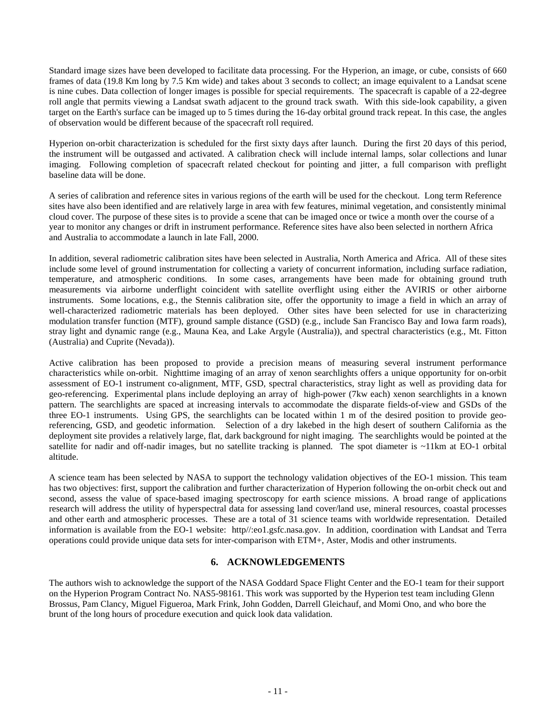Standard image sizes have been developed to facilitate data processing. For the Hyperion, an image, or cube, consists of 660 frames of data (19.8 Km long by 7.5 Km wide) and takes about 3 seconds to collect; an image equivalent to a Landsat scene is nine cubes. Data collection of longer images is possible for special requirements. The spacecraft is capable of a 22-degree roll angle that permits viewing a Landsat swath adjacent to the ground track swath. With this side-look capability, a given target on the Earth's surface can be imaged up to 5 times during the 16-day orbital ground track repeat. In this case, the angles of observation would be different because of the spacecraft roll required.

Hyperion on-orbit characterization is scheduled for the first sixty days after launch. During the first 20 days of this period, the instrument will be outgassed and activated. A calibration check will include internal lamps, solar collections and lunar imaging. Following completion of spacecraft related checkout for pointing and jitter, a full comparison with preflight baseline data will be done.

A series of calibration and reference sites in various regions of the earth will be used for the checkout. Long term Reference sites have also been identified and are relatively large in area with few features, minimal vegetation, and consistently minimal cloud cover. The purpose of these sites is to provide a scene that can be imaged once or twice a month over the course of a year to monitor any changes or drift in instrument performance. Reference sites have also been selected in northern Africa and Australia to accommodate a launch in late Fall, 2000.

In addition, several radiometric calibration sites have been selected in Australia, North America and Africa. All of these sites include some level of ground instrumentation for collecting a variety of concurrent information, including surface radiation, temperature, and atmospheric conditions. In some cases, arrangements have been made for obtaining ground truth measurements via airborne underflight coincident with satellite overflight using either the AVIRIS or other airborne instruments. Some locations, e.g., the Stennis calibration site, offer the opportunity to image a field in which an array of well-characterized radiometric materials has been deployed. Other sites have been selected for use in characterizing modulation transfer function (MTF), ground sample distance (GSD) (e.g., include San Francisco Bay and Iowa farm roads), stray light and dynamic range (e.g., Mauna Kea, and Lake Argyle (Australia)), and spectral characteristics (e.g., Mt. Fitton (Australia) and Cuprite (Nevada)).

Active calibration has been proposed to provide a precision means of measuring several instrument performance characteristics while on-orbit. Nighttime imaging of an array of xenon searchlights offers a unique opportunity for on-orbit assessment of EO-1 instrument co-alignment, MTF, GSD, spectral characteristics, stray light as well as providing data for geo-referencing. Experimental plans include deploying an array of high-power (7kw each) xenon searchlights in a known pattern. The searchlights are spaced at increasing intervals to accommodate the disparate fields-of-view and GSDs of the three EO-1 instruments. Using GPS, the searchlights can be located within 1 m of the desired position to provide georeferencing, GSD, and geodetic information. Selection of a dry lakebed in the high desert of southern California as the deployment site provides a relatively large, flat, dark background for night imaging. The searchlights would be pointed at the satellite for nadir and off-nadir images, but no satellite tracking is planned. The spot diameter is ~11km at EO-1 orbital altitude.

A science team has been selected by NASA to support the technology validation objectives of the EO-1 mission. This team has two objectives: first, support the calibration and further characterization of Hyperion following the on-orbit check out and second, assess the value of space-based imaging spectroscopy for earth science missions. A broad range of applications research will address the utility of hyperspectral data for assessing land cover/land use, mineral resources, coastal processes and other earth and atmospheric processes. These are a total of 31 science teams with worldwide representation. Detailed information is available from the EO-1 website: http//:eo1.gsfc.nasa.gov. In addition, coordination with Landsat and Terra operations could provide unique data sets for inter-comparison with ETM+, Aster, Modis and other instruments.

## **6. ACKNOWLEDGEMENTS**

The authors wish to acknowledge the support of the NASA Goddard Space Flight Center and the EO-1 team for their support on the Hyperion Program Contract No. NAS5-98161. This work was supported by the Hyperion test team including Glenn Brossus, Pam Clancy, Miguel Figueroa, Mark Frink, John Godden, Darrell Gleichauf, and Momi Ono, and who bore the brunt of the long hours of procedure execution and quick look data validation.